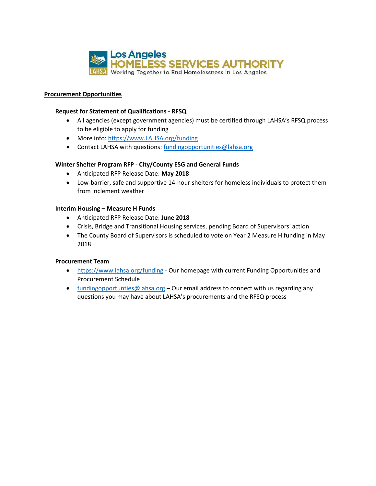

### **Procurement Opportunities**

### **Request for Statement of Qualifications - RFSQ**

- All agencies (except government agencies) must be certified through LAHSA's RFSQ process to be eligible to apply for funding
- More info: https://www.LAHSA.org/funding
- Contact LAHSA with questions: [fundingopportunities@lahsa.org](mailto:fundingopportunities@lahsa.org)

# **Winter Shelter Program RFP - City/County ESG and General Funds**

- Anticipated RFP Release Date: **May 2018**
- Low-barrier, safe and supportive 14-hour shelters for homeless individuals to protect them from inclement weather

### **Interim Housing – Measure H Funds**

- Anticipated RFP Release Date: **June 2018**
- Crisis, Bridge and Transitional Housing services, pending Board of Supervisors' action
- The County Board of Supervisors is scheduled to vote on Year 2 Measure H funding in May 2018

# **Procurement Team**

- <https://www.lahsa.org/funding> Our homepage with current Funding Opportunities and Procurement Schedule
- [fundingopportunties@lahsa.org](mailto:fundingopportunties@lahsa.org) Our email address to connect with us regarding any questions you may have about LAHSA's procurements and the RFSQ process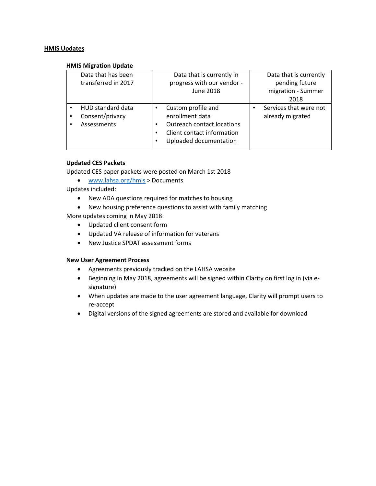### **HMIS Updates**

### **HMIS Migration Update**

| Data that has been                                              | Data that is currently in                                                                                                                                      | Data that is currently                     |
|-----------------------------------------------------------------|----------------------------------------------------------------------------------------------------------------------------------------------------------------|--------------------------------------------|
| transferred in 2017                                             | progress with our vendor -<br>June 2018                                                                                                                        | pending future<br>migration - Summer       |
|                                                                 |                                                                                                                                                                | 2018                                       |
| <b>HUD</b> standard data<br>Consent/privacy<br>٠<br>Assessments | Custom profile and<br>$\bullet$<br>enrollment data<br><b>Outreach contact locations</b><br>٠<br>Client contact information<br>٠<br>Uploaded documentation<br>٠ | Services that were not<br>already migrated |

# **Updated CES Packets**

Updated CES paper packets were posted on March 1st 2018

• [www.lahsa.org/hmis](http://www.lahsa.org/hmis) > Documents

Updates included:

- New ADA questions required for matches to housing
- New housing preference questions to assist with family matching

More updates coming in May 2018:

- Updated client consent form
- Updated VA release of information for veterans
- New Justice SPDAT assessment forms

# **New User Agreement Process**

- Agreements previously tracked on the LAHSA website
- Beginning in May 2018, agreements will be signed within Clarity on first log in (via esignature)
- When updates are made to the user agreement language, Clarity will prompt users to re-accept
- Digital versions of the signed agreements are stored and available for download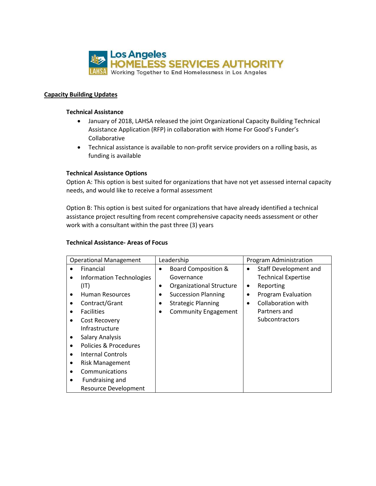

# **Capacity Building Updates**

### **Technical Assistance**

- January of 2018, LAHSA released the joint Organizational Capacity Building Technical Assistance Application (RFP) in collaboration with Home For Good's Funder's Collaborative
- Technical assistance is available to non-profit service providers on a rolling basis, as funding is available

### **Technical Assistance Options**

Option A: This option is best suited for organizations that have not yet assessed internal capacity needs, and would like to receive a formal assessment

Option B: This option is best suited for organizations that have already identified a technical assistance project resulting from recent comprehensive capacity needs assessment or other work with a consultant within the past three (3) years

## **Technical Assistance- Areas of Focus**

| <b>Operational Management</b>                | Leadership                                   | Program Administration                                                  |
|----------------------------------------------|----------------------------------------------|-------------------------------------------------------------------------|
| Financial<br><b>Information Technologies</b> | <b>Board Composition &amp;</b><br>Governance | <b>Staff Development and</b><br>$\bullet$<br><b>Technical Expertise</b> |
| (IT)                                         | <b>Organizational Structure</b><br>٠         | Reporting<br>٠                                                          |
| <b>Human Resources</b>                       | <b>Succession Planning</b>                   | <b>Program Evaluation</b>                                               |
| Contract/Grant                               | <b>Strategic Planning</b>                    | Collaboration with                                                      |
| <b>Facilities</b>                            | <b>Community Engagement</b>                  | Partners and                                                            |
| Cost Recovery                                |                                              | <b>Subcontractors</b>                                                   |
| Infrastructure                               |                                              |                                                                         |
| <b>Salary Analysis</b>                       |                                              |                                                                         |
| Policies & Procedures                        |                                              |                                                                         |
| Internal Controls                            |                                              |                                                                         |
| <b>Risk Management</b>                       |                                              |                                                                         |
| Communications                               |                                              |                                                                         |
| Fundraising and                              |                                              |                                                                         |
| <b>Resource Development</b>                  |                                              |                                                                         |